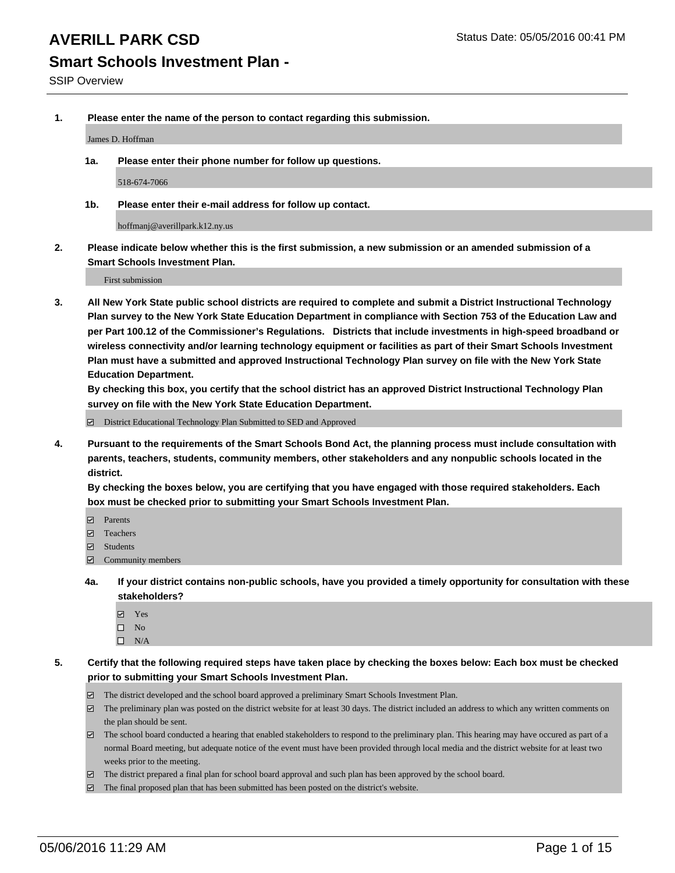# **Smart Schools Investment Plan -**

**1. Please enter the name of the person to contact regarding this submission.**

James D. Hoffman

**1a. Please enter their phone number for follow up questions.**

518-674-7066

**1b. Please enter their e-mail address for follow up contact.**

hoffmanj@averillpark.k12.ny.us

**2. Please indicate below whether this is the first submission, a new submission or an amended submission of a Smart Schools Investment Plan.**

First submission

**3. All New York State public school districts are required to complete and submit a District Instructional Technology Plan survey to the New York State Education Department in compliance with Section 753 of the Education Law and per Part 100.12 of the Commissioner's Regulations. Districts that include investments in high-speed broadband or wireless connectivity and/or learning technology equipment or facilities as part of their Smart Schools Investment Plan must have a submitted and approved Instructional Technology Plan survey on file with the New York State Education Department.** 

**By checking this box, you certify that the school district has an approved District Instructional Technology Plan survey on file with the New York State Education Department.**

■ District Educational Technology Plan Submitted to SED and Approved

**4. Pursuant to the requirements of the Smart Schools Bond Act, the planning process must include consultation with parents, teachers, students, community members, other stakeholders and any nonpublic schools located in the district.** 

**By checking the boxes below, you are certifying that you have engaged with those required stakeholders. Each box must be checked prior to submitting your Smart Schools Investment Plan.**

- **Parents**
- □ Teachers
- Students
- $\boxdot$  Community members
- **4a. If your district contains non-public schools, have you provided a timely opportunity for consultation with these stakeholders?**
	- Yes
	- $\square$  No
	- $\Box$  N/A
- **5. Certify that the following required steps have taken place by checking the boxes below: Each box must be checked prior to submitting your Smart Schools Investment Plan.**
	- The district developed and the school board approved a preliminary Smart Schools Investment Plan.
	- The preliminary plan was posted on the district website for at least 30 days. The district included an address to which any written comments on the plan should be sent.
	- $\Box$  The school board conducted a hearing that enabled stakeholders to respond to the preliminary plan. This hearing may have occured as part of a normal Board meeting, but adequate notice of the event must have been provided through local media and the district website for at least two weeks prior to the meeting.
	- The district prepared a final plan for school board approval and such plan has been approved by the school board.
	- The final proposed plan that has been submitted has been posted on the district's website.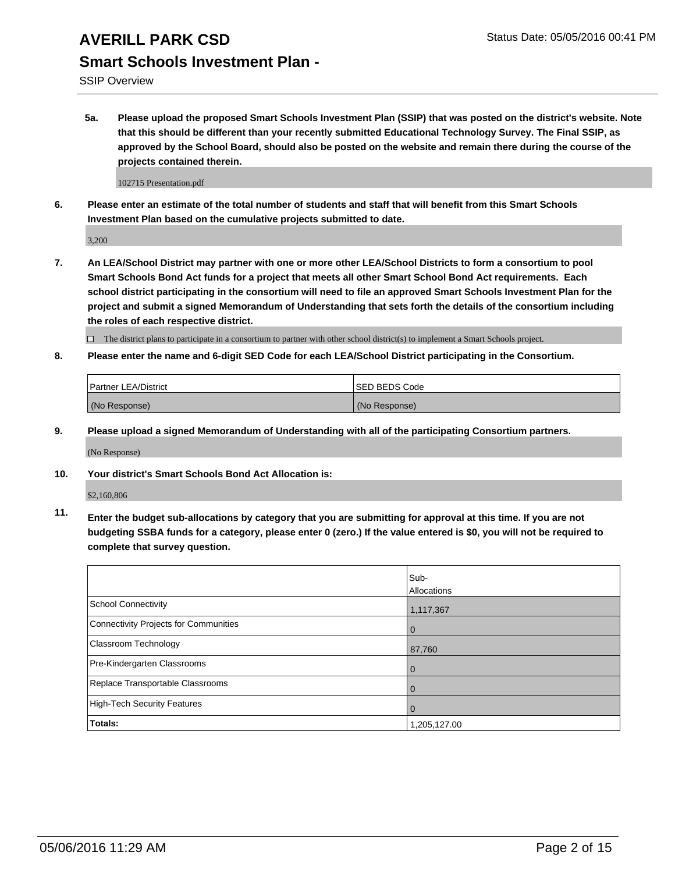SSIP Overview

**5a. Please upload the proposed Smart Schools Investment Plan (SSIP) that was posted on the district's website. Note that this should be different than your recently submitted Educational Technology Survey. The Final SSIP, as approved by the School Board, should also be posted on the website and remain there during the course of the projects contained therein.**

102715 Presentation.pdf

**6. Please enter an estimate of the total number of students and staff that will benefit from this Smart Schools Investment Plan based on the cumulative projects submitted to date.**

3,200

**7. An LEA/School District may partner with one or more other LEA/School Districts to form a consortium to pool Smart Schools Bond Act funds for a project that meets all other Smart School Bond Act requirements. Each school district participating in the consortium will need to file an approved Smart Schools Investment Plan for the project and submit a signed Memorandum of Understanding that sets forth the details of the consortium including the roles of each respective district.**

 $\Box$  The district plans to participate in a consortium to partner with other school district(s) to implement a Smart Schools project.

**8. Please enter the name and 6-digit SED Code for each LEA/School District participating in the Consortium.**

| <b>Partner LEA/District</b> | <b>ISED BEDS Code</b> |
|-----------------------------|-----------------------|
| (No Response)               | (No Response)         |

**9. Please upload a signed Memorandum of Understanding with all of the participating Consortium partners.**

(No Response)

**10. Your district's Smart Schools Bond Act Allocation is:**

\$2,160,806

**11. Enter the budget sub-allocations by category that you are submitting for approval at this time. If you are not budgeting SSBA funds for a category, please enter 0 (zero.) If the value entered is \$0, you will not be required to complete that survey question.**

|                                       | Sub-<br>Allocations |
|---------------------------------------|---------------------|
| <b>School Connectivity</b>            | 1,117,367           |
| Connectivity Projects for Communities | $\Omega$            |
| Classroom Technology                  | 87,760              |
| Pre-Kindergarten Classrooms           | $\Omega$            |
| Replace Transportable Classrooms      | $\Omega$            |
| <b>High-Tech Security Features</b>    | $\Omega$            |
| Totals:                               | 1,205,127.00        |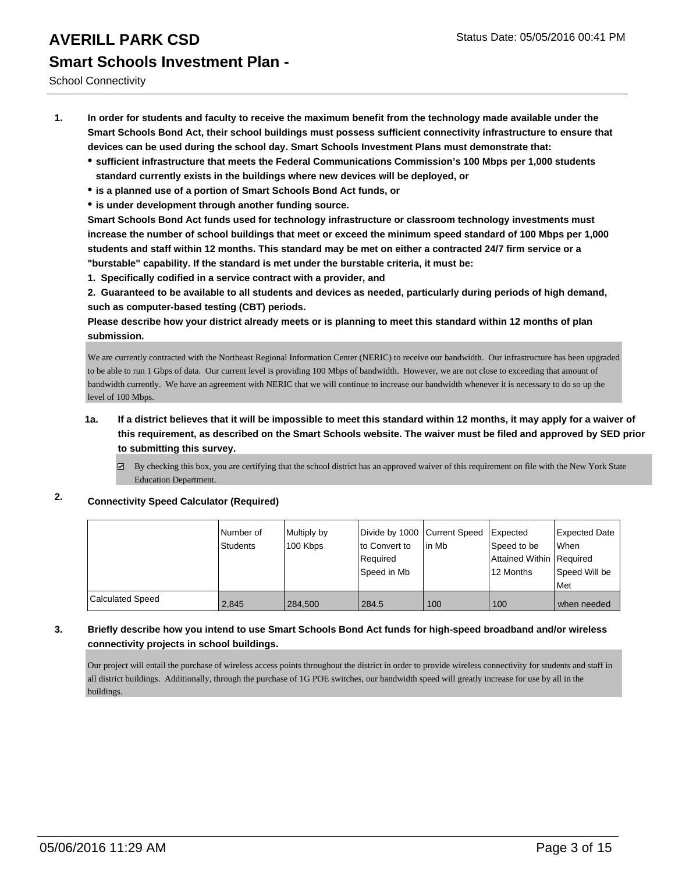School Connectivity

- **1. In order for students and faculty to receive the maximum benefit from the technology made available under the Smart Schools Bond Act, their school buildings must possess sufficient connectivity infrastructure to ensure that devices can be used during the school day. Smart Schools Investment Plans must demonstrate that:**
	- **sufficient infrastructure that meets the Federal Communications Commission's 100 Mbps per 1,000 students standard currently exists in the buildings where new devices will be deployed, or**
	- **is a planned use of a portion of Smart Schools Bond Act funds, or**
	- **is under development through another funding source.**

**Smart Schools Bond Act funds used for technology infrastructure or classroom technology investments must increase the number of school buildings that meet or exceed the minimum speed standard of 100 Mbps per 1,000 students and staff within 12 months. This standard may be met on either a contracted 24/7 firm service or a "burstable" capability. If the standard is met under the burstable criteria, it must be:**

**1. Specifically codified in a service contract with a provider, and**

**2. Guaranteed to be available to all students and devices as needed, particularly during periods of high demand, such as computer-based testing (CBT) periods.**

**Please describe how your district already meets or is planning to meet this standard within 12 months of plan submission.**

We are currently contracted with the Northeast Regional Information Center (NERIC) to receive our bandwidth. Our infrastructure has been upgraded to be able to run 1 Gbps of data. Our current level is providing 100 Mbps of bandwidth. However, we are not close to exceeding that amount of bandwidth currently. We have an agreement with NERIC that we will continue to increase our bandwidth whenever it is necessary to do so up the level of 100 Mbps.

### **1a. If a district believes that it will be impossible to meet this standard within 12 months, it may apply for a waiver of this requirement, as described on the Smart Schools website. The waiver must be filed and approved by SED prior to submitting this survey.**

By checking this box, you are certifying that the school district has an approved waiver of this requirement on file with the New York State Education Department.

### **2. Connectivity Speed Calculator (Required)**

|                  | Number of<br>Students | Multiply by<br>100 Kbps | Divide by 1000 Current Speed<br>Ito Convert to<br>l Reauired<br>Speed in Mb | lin Mb | <b>Expected</b><br>Speed to be<br>Attained Within   Required<br>12 Months | Expected Date<br><b>When</b><br>Speed Will be<br>l Met |
|------------------|-----------------------|-------------------------|-----------------------------------------------------------------------------|--------|---------------------------------------------------------------------------|--------------------------------------------------------|
| Calculated Speed | 2,845                 | 284,500                 | 284.5                                                                       | 100    | 100                                                                       | when needed                                            |

### **3. Briefly describe how you intend to use Smart Schools Bond Act funds for high-speed broadband and/or wireless connectivity projects in school buildings.**

Our project will entail the purchase of wireless access points throughout the district in order to provide wireless connectivity for students and staff in all district buildings. Additionally, through the purchase of 1G POE switches, our bandwidth speed will greatly increase for use by all in the buildings.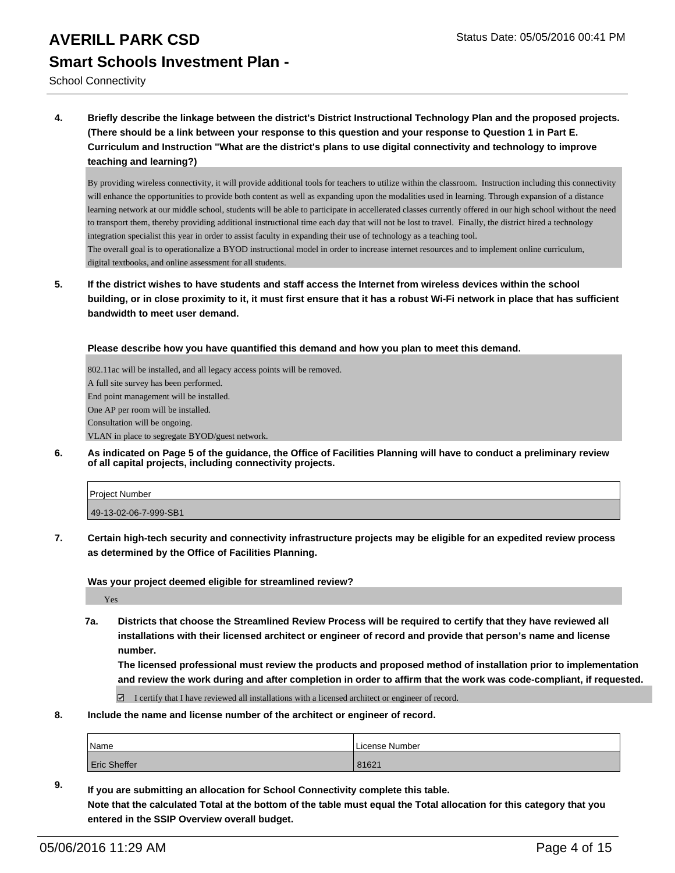School Connectivity

**4. Briefly describe the linkage between the district's District Instructional Technology Plan and the proposed projects. (There should be a link between your response to this question and your response to Question 1 in Part E. Curriculum and Instruction "What are the district's plans to use digital connectivity and technology to improve teaching and learning?)**

By providing wireless connectivity, it will provide additional tools for teachers to utilize within the classroom. Instruction including this connectivity will enhance the opportunities to provide both content as well as expanding upon the modalities used in learning. Through expansion of a distance learning network at our middle school, students will be able to participate in accellerated classes currently offered in our high school without the need to transport them, thereby providing additional instructional time each day that will not be lost to travel. Finally, the district hired a technology integration specialist this year in order to assist faculty in expanding their use of technology as a teaching tool. The overall goal is to operationalize a BYOD instructional model in order to increase internet resources and to implement online curriculum, digital textbooks, and online assessment for all students.

**5. If the district wishes to have students and staff access the Internet from wireless devices within the school building, or in close proximity to it, it must first ensure that it has a robust Wi-Fi network in place that has sufficient bandwidth to meet user demand.**

**Please describe how you have quantified this demand and how you plan to meet this demand.**

802.11ac will be installed, and all legacy access points will be removed. A full site survey has been performed. End point management will be installed. One AP per room will be installed. Consultation will be ongoing. VLAN in place to segregate BYOD/guest network.

**6. As indicated on Page 5 of the guidance, the Office of Facilities Planning will have to conduct a preliminary review of all capital projects, including connectivity projects.**

| Project Number        |  |
|-----------------------|--|
| 49-13-02-06-7-999-SB1 |  |

**7. Certain high-tech security and connectivity infrastructure projects may be eligible for an expedited review process as determined by the Office of Facilities Planning.**

**Was your project deemed eligible for streamlined review?**

Yes

**7a. Districts that choose the Streamlined Review Process will be required to certify that they have reviewed all installations with their licensed architect or engineer of record and provide that person's name and license number.**

**The licensed professional must review the products and proposed method of installation prior to implementation and review the work during and after completion in order to affirm that the work was code-compliant, if requested.**

I certify that I have reviewed all installations with a licensed architect or engineer of record.

**8. Include the name and license number of the architect or engineer of record.**

| <sup>I</sup> Name   | License Number |
|---------------------|----------------|
| <b>Eric Sheffer</b> | 81621          |

**9. If you are submitting an allocation for School Connectivity complete this table. Note that the calculated Total at the bottom of the table must equal the Total allocation for this category that you entered in the SSIP Overview overall budget.**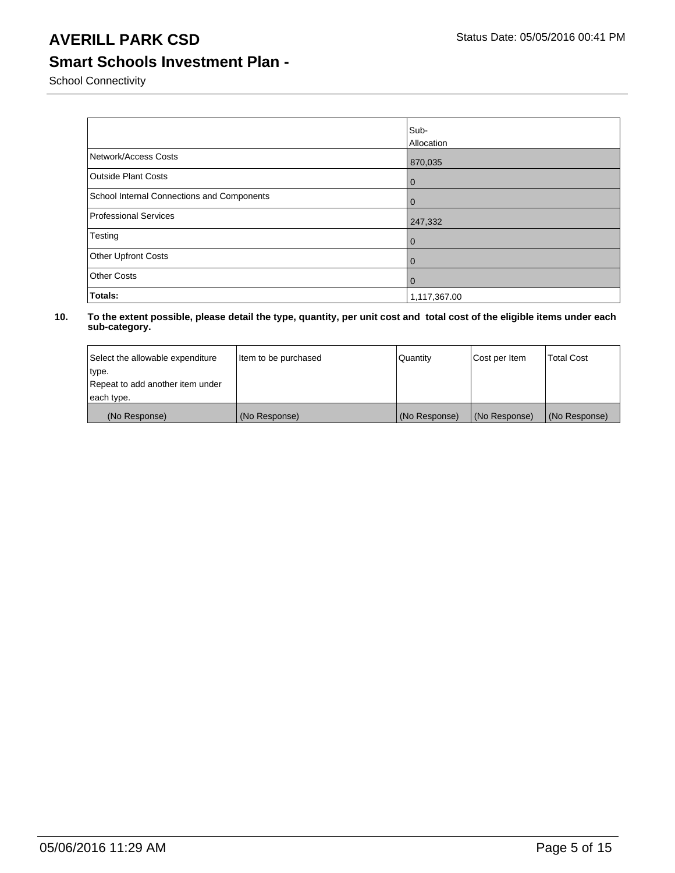## **Smart Schools Investment Plan -**

School Connectivity

|                                            | Sub-<br>Allocation |
|--------------------------------------------|--------------------|
| Network/Access Costs                       | 870,035            |
| <b>Outside Plant Costs</b>                 | l 0                |
| School Internal Connections and Components | $\overline{0}$     |
| Professional Services                      | 247,332            |
| Testing                                    | l 0                |
| Other Upfront Costs                        | l 0                |
| <b>Other Costs</b>                         | l 0                |
| Totals:                                    | 1,117,367.00       |

| Select the allowable expenditure | Item to be purchased | Quantity      | Cost per Item | <b>Total Cost</b> |
|----------------------------------|----------------------|---------------|---------------|-------------------|
| type.                            |                      |               |               |                   |
| Repeat to add another item under |                      |               |               |                   |
| each type.                       |                      |               |               |                   |
| (No Response)                    | (No Response)        | (No Response) | (No Response) | (No Response)     |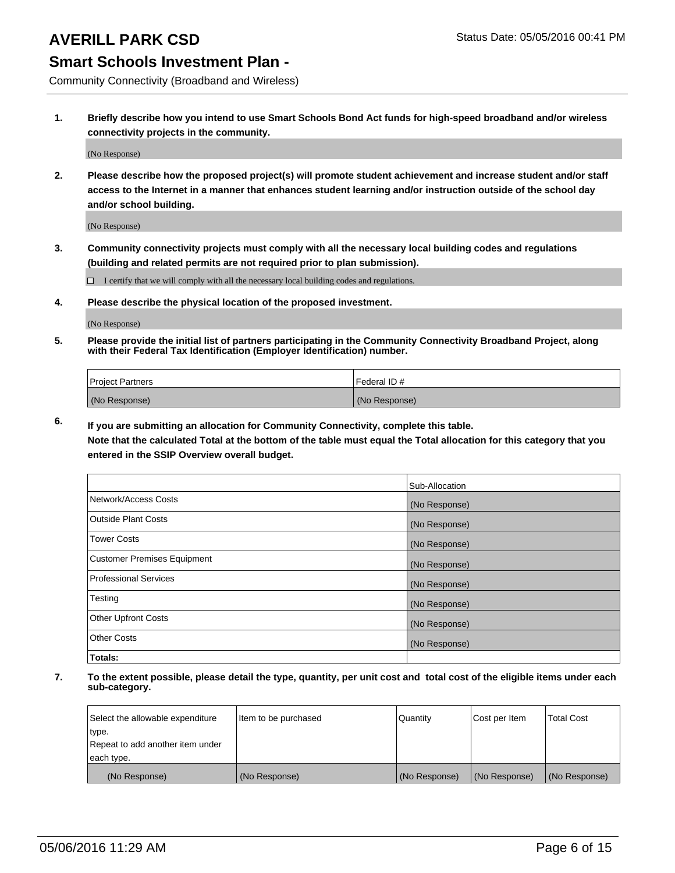## **Smart Schools Investment Plan -**

Community Connectivity (Broadband and Wireless)

**1. Briefly describe how you intend to use Smart Schools Bond Act funds for high-speed broadband and/or wireless connectivity projects in the community.**

(No Response)

**2. Please describe how the proposed project(s) will promote student achievement and increase student and/or staff access to the Internet in a manner that enhances student learning and/or instruction outside of the school day and/or school building.**

(No Response)

**3. Community connectivity projects must comply with all the necessary local building codes and regulations (building and related permits are not required prior to plan submission).**

 $\Box$  I certify that we will comply with all the necessary local building codes and regulations.

**4. Please describe the physical location of the proposed investment.**

(No Response)

**5. Please provide the initial list of partners participating in the Community Connectivity Broadband Project, along with their Federal Tax Identification (Employer Identification) number.**

| <b>Project Partners</b> | I Federal ID # |
|-------------------------|----------------|
| (No Response)           | (No Response)  |

**6. If you are submitting an allocation for Community Connectivity, complete this table.**

**Note that the calculated Total at the bottom of the table must equal the Total allocation for this category that you entered in the SSIP Overview overall budget.**

|                                    | Sub-Allocation |
|------------------------------------|----------------|
| Network/Access Costs               | (No Response)  |
| Outside Plant Costs                | (No Response)  |
| <b>Tower Costs</b>                 | (No Response)  |
| <b>Customer Premises Equipment</b> | (No Response)  |
| Professional Services              | (No Response)  |
| Testing                            | (No Response)  |
| <b>Other Upfront Costs</b>         | (No Response)  |
| Other Costs                        | (No Response)  |
| Totals:                            |                |

| Select the allowable expenditure | Item to be purchased | Quantity      | Cost per Item | <b>Total Cost</b> |
|----------------------------------|----------------------|---------------|---------------|-------------------|
| type.                            |                      |               |               |                   |
| Repeat to add another item under |                      |               |               |                   |
| each type.                       |                      |               |               |                   |
| (No Response)                    | (No Response)        | (No Response) | (No Response) | (No Response)     |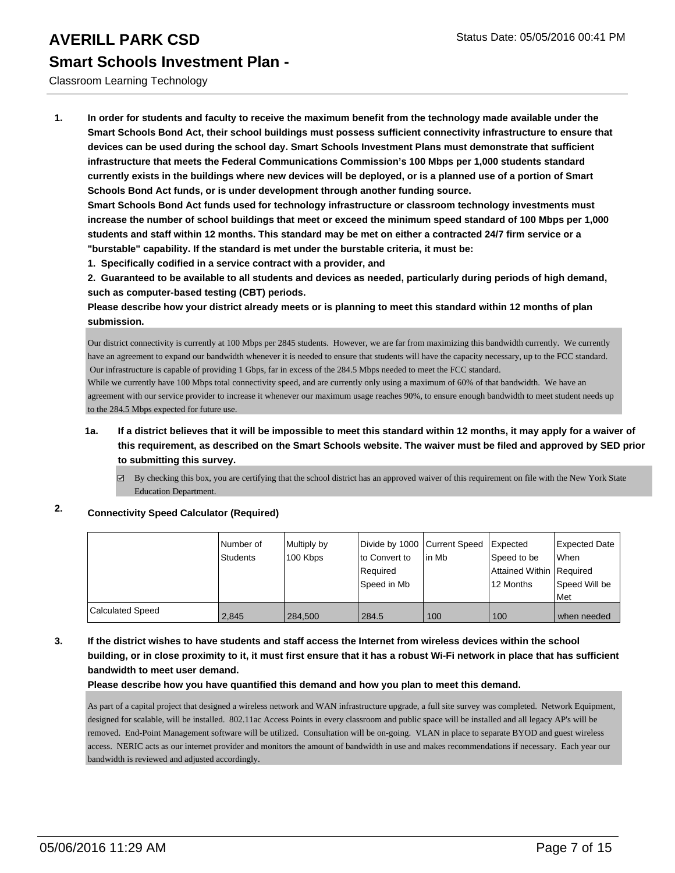### Classroom Learning Technology

**1. In order for students and faculty to receive the maximum benefit from the technology made available under the Smart Schools Bond Act, their school buildings must possess sufficient connectivity infrastructure to ensure that devices can be used during the school day. Smart Schools Investment Plans must demonstrate that sufficient infrastructure that meets the Federal Communications Commission's 100 Mbps per 1,000 students standard currently exists in the buildings where new devices will be deployed, or is a planned use of a portion of Smart Schools Bond Act funds, or is under development through another funding source.**

**Smart Schools Bond Act funds used for technology infrastructure or classroom technology investments must increase the number of school buildings that meet or exceed the minimum speed standard of 100 Mbps per 1,000 students and staff within 12 months. This standard may be met on either a contracted 24/7 firm service or a "burstable" capability. If the standard is met under the burstable criteria, it must be:**

**1. Specifically codified in a service contract with a provider, and**

**2. Guaranteed to be available to all students and devices as needed, particularly during periods of high demand, such as computer-based testing (CBT) periods.**

**Please describe how your district already meets or is planning to meet this standard within 12 months of plan submission.**

Our district connectivity is currently at 100 Mbps per 2845 students. However, we are far from maximizing this bandwidth currently. We currently have an agreement to expand our bandwidth whenever it is needed to ensure that students will have the capacity necessary, up to the FCC standard. Our infrastructure is capable of providing 1 Gbps, far in excess of the 284.5 Mbps needed to meet the FCC standard.

While we currently have 100 Mbps total connectivity speed, and are currently only using a maximum of 60% of that bandwidth. We have an agreement with our service provider to increase it whenever our maximum usage reaches 90%, to ensure enough bandwidth to meet student needs up to the 284.5 Mbps expected for future use.

- **1a. If a district believes that it will be impossible to meet this standard within 12 months, it may apply for a waiver of this requirement, as described on the Smart Schools website. The waiver must be filed and approved by SED prior to submitting this survey.**
	- $\boxtimes$  By checking this box, you are certifying that the school district has an approved waiver of this requirement on file with the New York State Education Department.

## **2. Connectivity Speed Calculator (Required)**

|                  | Number of | Multiply by | Divide by 1000 Current Speed |       | Expected                   | Expected Date |
|------------------|-----------|-------------|------------------------------|-------|----------------------------|---------------|
|                  | Students  | 100 Kbps    | lto Convert to               | In Mb | Speed to be                | <b>When</b>   |
|                  |           |             | Reauired                     |       | Attained Within   Required |               |
|                  |           |             | Speed in Mb                  |       | 12 Months                  | Speed Will be |
|                  |           |             |                              |       |                            | <b>Met</b>    |
| Calculated Speed | 2.845     | 284.500     | 284.5                        | 100   | 100                        | when needed   |

### **3. If the district wishes to have students and staff access the Internet from wireless devices within the school building, or in close proximity to it, it must first ensure that it has a robust Wi-Fi network in place that has sufficient bandwidth to meet user demand.**

### **Please describe how you have quantified this demand and how you plan to meet this demand.**

As part of a capital project that designed a wireless network and WAN infrastructure upgrade, a full site survey was completed. Network Equipment, designed for scalable, will be installed. 802.11ac Access Points in every classroom and public space will be installed and all legacy AP's will be removed. End-Point Management software will be utilized. Consultation will be on-going. VLAN in place to separate BYOD and guest wireless access. NERIC acts as our internet provider and monitors the amount of bandwidth in use and makes recommendations if necessary. Each year our bandwidth is reviewed and adjusted accordingly.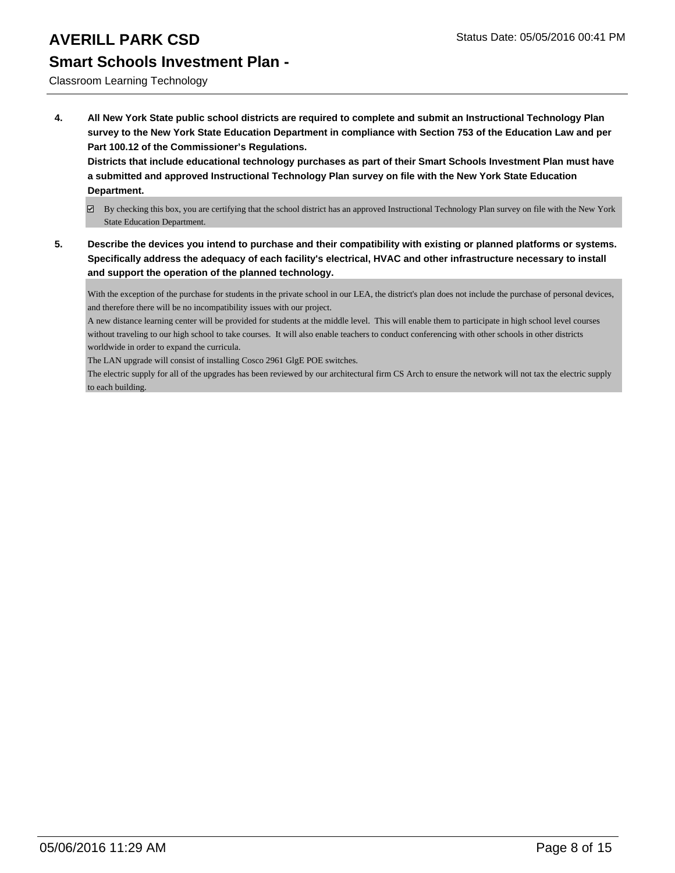# **Smart Schools Investment Plan -**

Classroom Learning Technology

**4. All New York State public school districts are required to complete and submit an Instructional Technology Plan survey to the New York State Education Department in compliance with Section 753 of the Education Law and per Part 100.12 of the Commissioner's Regulations.**

**Districts that include educational technology purchases as part of their Smart Schools Investment Plan must have a submitted and approved Instructional Technology Plan survey on file with the New York State Education Department.**

- By checking this box, you are certifying that the school district has an approved Instructional Technology Plan survey on file with the New York State Education Department.
- **5. Describe the devices you intend to purchase and their compatibility with existing or planned platforms or systems. Specifically address the adequacy of each facility's electrical, HVAC and other infrastructure necessary to install and support the operation of the planned technology.**

With the exception of the purchase for students in the private school in our LEA, the district's plan does not include the purchase of personal devices, and therefore there will be no incompatibility issues with our project.

A new distance learning center will be provided for students at the middle level. This will enable them to participate in high school level courses without traveling to our high school to take courses. It will also enable teachers to conduct conferencing with other schools in other districts worldwide in order to expand the curricula.

The LAN upgrade will consist of installing Cosco 2961 GlgE POE switches.

The electric supply for all of the upgrades has been reviewed by our architectural firm CS Arch to ensure the network will not tax the electric supply to each building.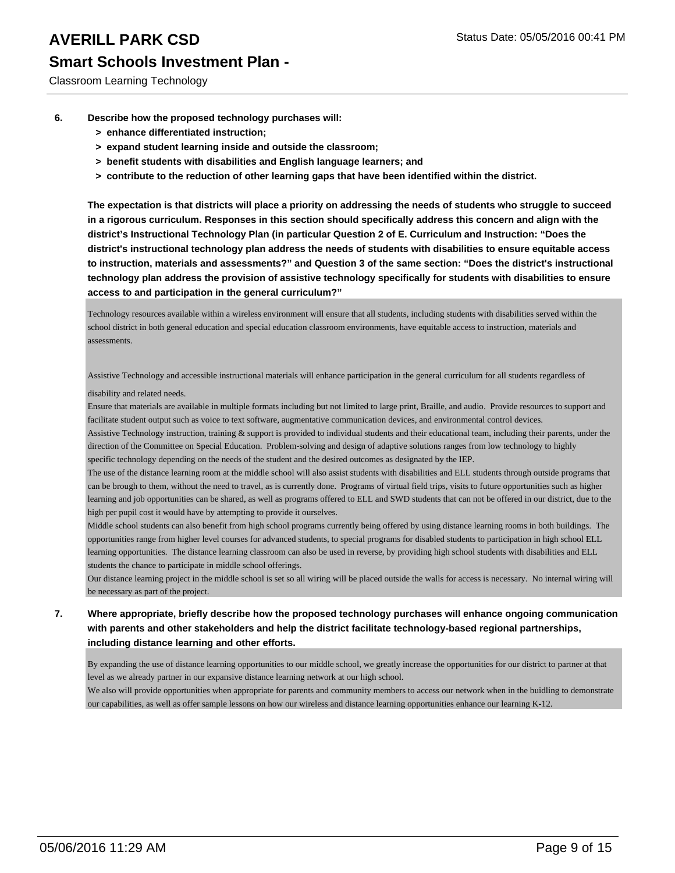Classroom Learning Technology

- **6. Describe how the proposed technology purchases will:**
	- **> enhance differentiated instruction;**
	- **> expand student learning inside and outside the classroom;**
	- **> benefit students with disabilities and English language learners; and**
	- **> contribute to the reduction of other learning gaps that have been identified within the district.**

**The expectation is that districts will place a priority on addressing the needs of students who struggle to succeed in a rigorous curriculum. Responses in this section should specifically address this concern and align with the district's Instructional Technology Plan (in particular Question 2 of E. Curriculum and Instruction: "Does the district's instructional technology plan address the needs of students with disabilities to ensure equitable access to instruction, materials and assessments?" and Question 3 of the same section: "Does the district's instructional technology plan address the provision of assistive technology specifically for students with disabilities to ensure access to and participation in the general curriculum?"**

Technology resources available within a wireless environment will ensure that all students, including students with disabilities served within the school district in both general education and special education classroom environments, have equitable access to instruction, materials and assessments.

Assistive Technology and accessible instructional materials will enhance participation in the general curriculum for all students regardless of

disability and related needs.

Ensure that materials are available in multiple formats including but not limited to large print, Braille, and audio. Provide resources to support and facilitate student output such as voice to text software, augmentative communication devices, and environmental control devices.

Assistive Technology instruction, training & support is provided to individual students and their educational team, including their parents, under the direction of the Committee on Special Education. Problem-solving and design of adaptive solutions ranges from low technology to highly specific technology depending on the needs of the student and the desired outcomes as designated by the IEP.

The use of the distance learning room at the middle school will also assist students with disabilities and ELL students through outside programs that can be brough to them, without the need to travel, as is currently done. Programs of virtual field trips, visits to future opportunities such as higher learning and job opportunities can be shared, as well as programs offered to ELL and SWD students that can not be offered in our district, due to the high per pupil cost it would have by attempting to provide it ourselves.

Middle school students can also benefit from high school programs currently being offered by using distance learning rooms in both buildings. The opportunities range from higher level courses for advanced students, to special programs for disabled students to participation in high school ELL learning opportunities. The distance learning classroom can also be used in reverse, by providing high school students with disabilities and ELL students the chance to participate in middle school offerings.

Our distance learning project in the middle school is set so all wiring will be placed outside the walls for access is necessary. No internal wiring will be necessary as part of the project.

### **7. Where appropriate, briefly describe how the proposed technology purchases will enhance ongoing communication with parents and other stakeholders and help the district facilitate technology-based regional partnerships, including distance learning and other efforts.**

By expanding the use of distance learning opportunities to our middle school, we greatly increase the opportunities for our district to partner at that level as we already partner in our expansive distance learning network at our high school.

We also will provide opportunities when appropriate for parents and community members to access our network when in the buidling to demonstrate our capabilities, as well as offer sample lessons on how our wireless and distance learning opportunities enhance our learning K-12.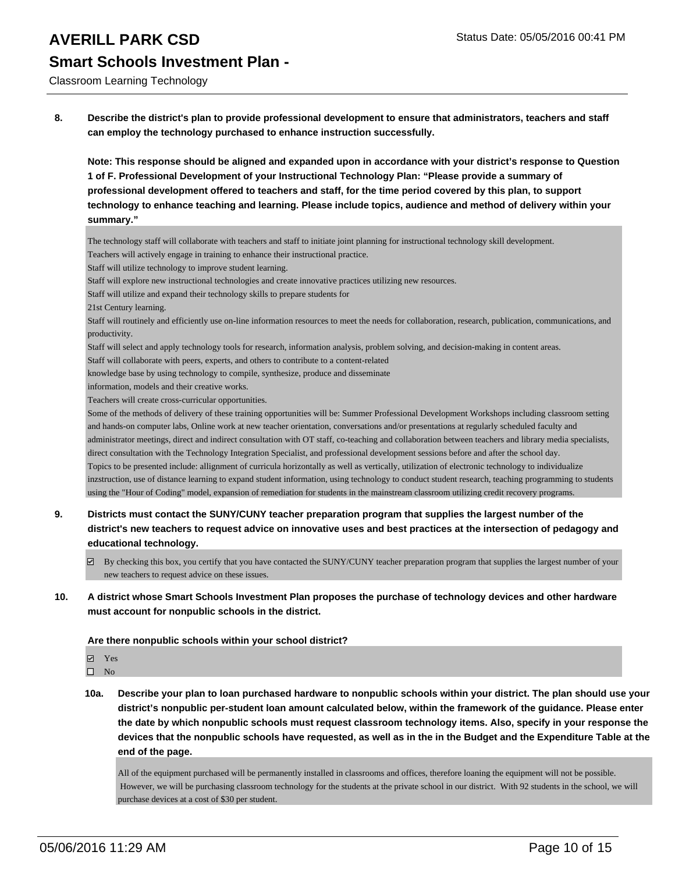Classroom Learning Technology

**8. Describe the district's plan to provide professional development to ensure that administrators, teachers and staff can employ the technology purchased to enhance instruction successfully.**

**Note: This response should be aligned and expanded upon in accordance with your district's response to Question 1 of F. Professional Development of your Instructional Technology Plan: "Please provide a summary of professional development offered to teachers and staff, for the time period covered by this plan, to support technology to enhance teaching and learning. Please include topics, audience and method of delivery within your summary."**

The technology staff will collaborate with teachers and staff to initiate joint planning for instructional technology skill development.

Teachers will actively engage in training to enhance their instructional practice.

Staff will utilize technology to improve student learning.

Staff will explore new instructional technologies and create innovative practices utilizing new resources.

Staff will utilize and expand their technology skills to prepare students for

21st Century learning.

Staff will routinely and efficiently use on-line information resources to meet the needs for collaboration, research, publication, communications, and productivity.

Staff will select and apply technology tools for research, information analysis, problem solving, and decision-making in content areas.

Staff will collaborate with peers, experts, and others to contribute to a content-related

knowledge base by using technology to compile, synthesize, produce and disseminate

information, models and their creative works.

Teachers will create cross-curricular opportunities.

Some of the methods of delivery of these training opportunities will be: Summer Professional Development Workshops including classroom setting and hands-on computer labs, Online work at new teacher orientation, conversations and/or presentations at regularly scheduled faculty and administrator meetings, direct and indirect consultation with OT staff, co-teaching and collaboration between teachers and library media specialists, direct consultation with the Technology Integration Specialist, and professional development sessions before and after the school day. Topics to be presented include: allignment of curricula horizontally as well as vertically, utilization of electronic technology to individualize inzstruction, use of distance learning to expand student information, using technology to conduct student research, teaching programming to students using the "Hour of Coding" model, expansion of remediation for students in the mainstream classroom utilizing credit recovery programs.

- **9. Districts must contact the SUNY/CUNY teacher preparation program that supplies the largest number of the district's new teachers to request advice on innovative uses and best practices at the intersection of pedagogy and educational technology.**
	- $\boxtimes$  By checking this box, you certify that you have contacted the SUNY/CUNY teacher preparation program that supplies the largest number of your new teachers to request advice on these issues.

### **10. A district whose Smart Schools Investment Plan proposes the purchase of technology devices and other hardware must account for nonpublic schools in the district.**

**Are there nonpublic schools within your school district?**

Yes

 $\hfill \square$  No

**10a. Describe your plan to loan purchased hardware to nonpublic schools within your district. The plan should use your district's nonpublic per-student loan amount calculated below, within the framework of the guidance. Please enter the date by which nonpublic schools must request classroom technology items. Also, specify in your response the devices that the nonpublic schools have requested, as well as in the in the Budget and the Expenditure Table at the end of the page.**

All of the equipment purchased will be permanently installed in classrooms and offices, therefore loaning the equipment will not be possible. However, we will be purchasing classroom technology for the students at the private school in our district. With 92 students in the school, we will purchase devices at a cost of \$30 per student.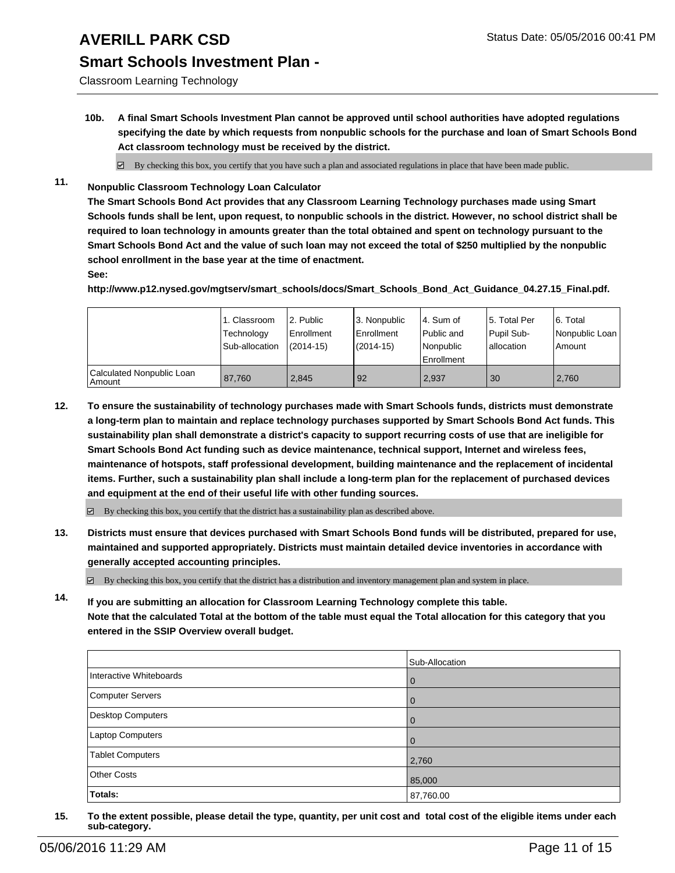## **Smart Schools Investment Plan -**

Classroom Learning Technology

**10b. A final Smart Schools Investment Plan cannot be approved until school authorities have adopted regulations specifying the date by which requests from nonpublic schools for the purchase and loan of Smart Schools Bond Act classroom technology must be received by the district.**

 $\boxtimes$  By checking this box, you certify that you have such a plan and associated regulations in place that have been made public.

**11. Nonpublic Classroom Technology Loan Calculator**

**The Smart Schools Bond Act provides that any Classroom Learning Technology purchases made using Smart Schools funds shall be lent, upon request, to nonpublic schools in the district. However, no school district shall be required to loan technology in amounts greater than the total obtained and spent on technology pursuant to the Smart Schools Bond Act and the value of such loan may not exceed the total of \$250 multiplied by the nonpublic school enrollment in the base year at the time of enactment.**

**See:**

**http://www.p12.nysed.gov/mgtserv/smart\_schools/docs/Smart\_Schools\_Bond\_Act\_Guidance\_04.27.15\_Final.pdf.**

|                                       | 1. Classroom<br>Technology<br>Sub-allocation | 2. Public<br><b>Enrollment</b><br>$(2014 - 15)$ | 3. Nonpublic<br>Enrollment<br>$(2014 - 15)$ | l 4. Sum of<br>l Public and<br>Nonpublic<br>Enrollment | 5. Total Per<br>Pupil Sub-<br>Iallocation | 6. Total<br>Nonpublic Loan<br>Amount |
|---------------------------------------|----------------------------------------------|-------------------------------------------------|---------------------------------------------|--------------------------------------------------------|-------------------------------------------|--------------------------------------|
| Calculated Nonpublic Loan<br>  Amount | 87.760                                       | 2.845                                           | 92                                          | 2,937                                                  | 30                                        | 2,760                                |

**12. To ensure the sustainability of technology purchases made with Smart Schools funds, districts must demonstrate a long-term plan to maintain and replace technology purchases supported by Smart Schools Bond Act funds. This sustainability plan shall demonstrate a district's capacity to support recurring costs of use that are ineligible for Smart Schools Bond Act funding such as device maintenance, technical support, Internet and wireless fees, maintenance of hotspots, staff professional development, building maintenance and the replacement of incidental items. Further, such a sustainability plan shall include a long-term plan for the replacement of purchased devices and equipment at the end of their useful life with other funding sources.**

 $\boxtimes$  By checking this box, you certify that the district has a sustainability plan as described above.

**13. Districts must ensure that devices purchased with Smart Schools Bond funds will be distributed, prepared for use, maintained and supported appropriately. Districts must maintain detailed device inventories in accordance with generally accepted accounting principles.**

 $\boxtimes$  By checking this box, you certify that the district has a distribution and inventory management plan and system in place.

**14. If you are submitting an allocation for Classroom Learning Technology complete this table. Note that the calculated Total at the bottom of the table must equal the Total allocation for this category that you entered in the SSIP Overview overall budget.**

|                          | Sub-Allocation |
|--------------------------|----------------|
| Interactive Whiteboards  | $\overline{0}$ |
| Computer Servers         | $\overline{0}$ |
| <b>Desktop Computers</b> | $\Omega$       |
| Laptop Computers         | $\Omega$       |
| <b>Tablet Computers</b>  | 2,760          |
| <b>Other Costs</b>       | 85,000         |
| Totals:                  | 87,760.00      |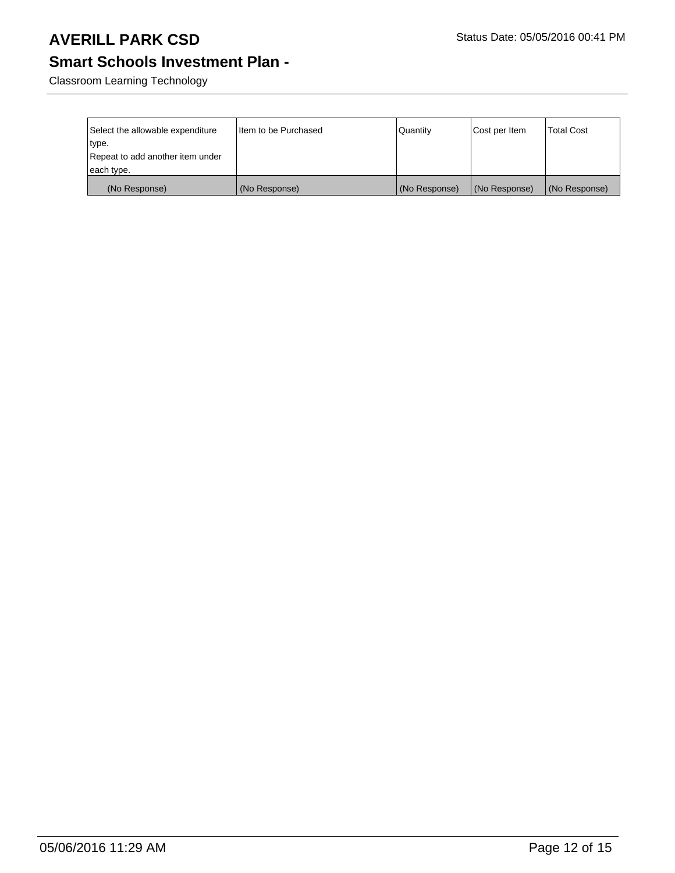## **Smart Schools Investment Plan -**

Classroom Learning Technology

| Select the allowable expenditure<br>type. | Item to be Purchased | Quantity      | Cost per Item | <b>Total Cost</b> |
|-------------------------------------------|----------------------|---------------|---------------|-------------------|
| Repeat to add another item under          |                      |               |               |                   |
| each type.                                |                      |               |               |                   |
| (No Response)                             | (No Response)        | (No Response) | (No Response) | (No Response)     |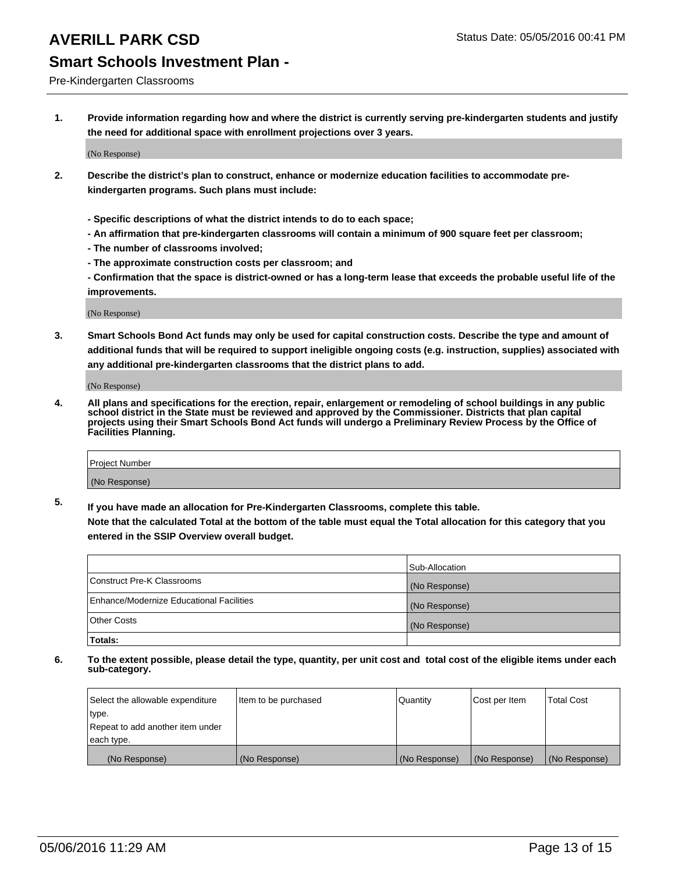### Pre-Kindergarten Classrooms

**1. Provide information regarding how and where the district is currently serving pre-kindergarten students and justify the need for additional space with enrollment projections over 3 years.**

(No Response)

- **2. Describe the district's plan to construct, enhance or modernize education facilities to accommodate prekindergarten programs. Such plans must include:**
	- **Specific descriptions of what the district intends to do to each space;**
	- **An affirmation that pre-kindergarten classrooms will contain a minimum of 900 square feet per classroom;**
	- **The number of classrooms involved;**
	- **The approximate construction costs per classroom; and**
	- **Confirmation that the space is district-owned or has a long-term lease that exceeds the probable useful life of the improvements.**

(No Response)

**3. Smart Schools Bond Act funds may only be used for capital construction costs. Describe the type and amount of additional funds that will be required to support ineligible ongoing costs (e.g. instruction, supplies) associated with any additional pre-kindergarten classrooms that the district plans to add.**

(No Response)

**4. All plans and specifications for the erection, repair, enlargement or remodeling of school buildings in any public school district in the State must be reviewed and approved by the Commissioner. Districts that plan capital projects using their Smart Schools Bond Act funds will undergo a Preliminary Review Process by the Office of Facilities Planning.**

| Project Number |  |
|----------------|--|
| (No Response)  |  |

**5. If you have made an allocation for Pre-Kindergarten Classrooms, complete this table. Note that the calculated Total at the bottom of the table must equal the Total allocation for this category that you**

**entered in the SSIP Overview overall budget.**

|                                          | Sub-Allocation |
|------------------------------------------|----------------|
| Construct Pre-K Classrooms               | (No Response)  |
| Enhance/Modernize Educational Facilities | (No Response)  |
| Other Costs                              | (No Response)  |
| Totals:                                  |                |

| Select the allowable expenditure | Item to be purchased | l Quantitv    | Cost per Item | <b>Total Cost</b> |
|----------------------------------|----------------------|---------------|---------------|-------------------|
| type.                            |                      |               |               |                   |
| Repeat to add another item under |                      |               |               |                   |
| each type.                       |                      |               |               |                   |
| (No Response)                    | (No Response)        | (No Response) | (No Response) | (No Response)     |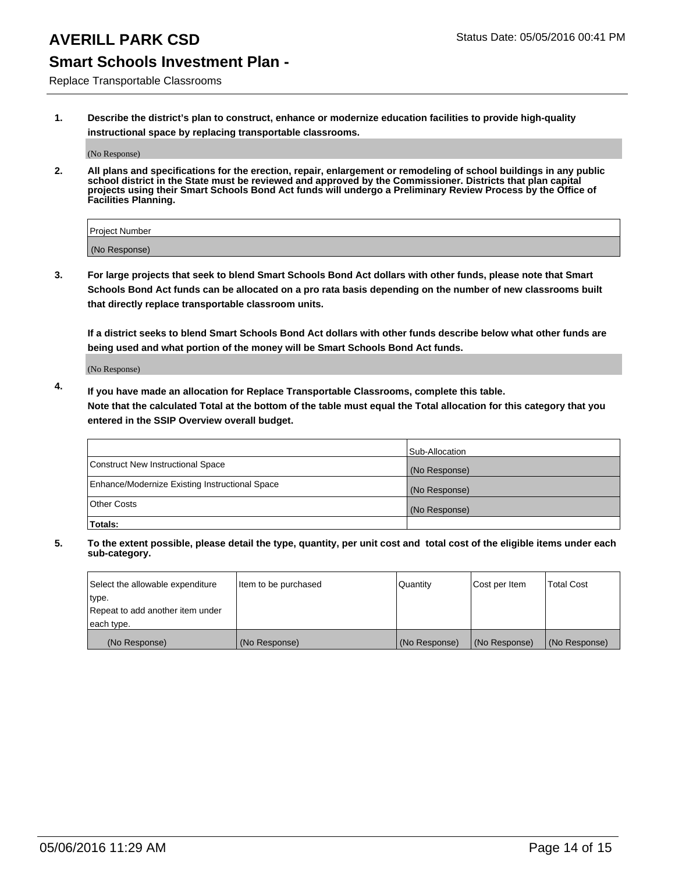## **Smart Schools Investment Plan -**

Replace Transportable Classrooms

**1. Describe the district's plan to construct, enhance or modernize education facilities to provide high-quality instructional space by replacing transportable classrooms.**

(No Response)

**2. All plans and specifications for the erection, repair, enlargement or remodeling of school buildings in any public school district in the State must be reviewed and approved by the Commissioner. Districts that plan capital projects using their Smart Schools Bond Act funds will undergo a Preliminary Review Process by the Office of Facilities Planning.**

| Project Number |  |
|----------------|--|
| (No Response)  |  |

**3. For large projects that seek to blend Smart Schools Bond Act dollars with other funds, please note that Smart Schools Bond Act funds can be allocated on a pro rata basis depending on the number of new classrooms built that directly replace transportable classroom units.**

**If a district seeks to blend Smart Schools Bond Act dollars with other funds describe below what other funds are being used and what portion of the money will be Smart Schools Bond Act funds.**

(No Response)

**4. If you have made an allocation for Replace Transportable Classrooms, complete this table. Note that the calculated Total at the bottom of the table must equal the Total allocation for this category that you entered in the SSIP Overview overall budget.**

|                                                | Sub-Allocation |
|------------------------------------------------|----------------|
| Construct New Instructional Space              | (No Response)  |
| Enhance/Modernize Existing Instructional Space | (No Response)  |
| <b>Other Costs</b>                             | (No Response)  |
| Totals:                                        |                |

| Select the allowable expenditure | Item to be purchased | <b>Quantity</b> | Cost per Item | <b>Total Cost</b> |
|----------------------------------|----------------------|-----------------|---------------|-------------------|
| type.                            |                      |                 |               |                   |
| Repeat to add another item under |                      |                 |               |                   |
| each type.                       |                      |                 |               |                   |
| (No Response)                    | (No Response)        | (No Response)   | (No Response) | (No Response)     |